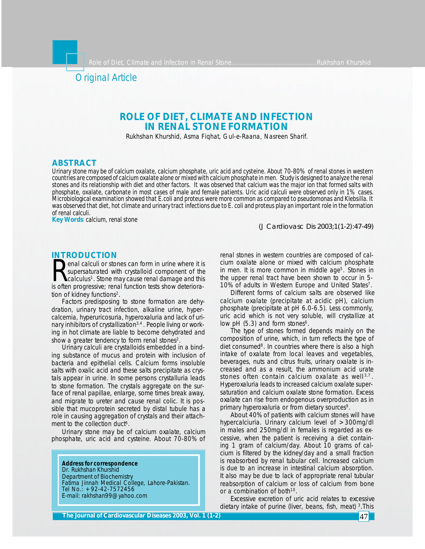

# **ROLE OF DIET, CLIMATE AND INFECTION IN RENAL STONE FORMATION**

Rukhshan Khurshid, Asma Fiqhat, Gul-e-Raana, Nasreen Sharif.

# **ABSTRACT**

*Urinary stone may be of calcium oxalate, calcium phosphate, uric acid and cysteine. About 70-80% of renal stones in western countries are composed of calcium oxalate alone or mixed with calcium phosphate in men. Study is designed to analyze the renal stones and its relationship with diet and other factors. It was observed that calcium was the major ion that formed salts with phosphate, oxalate, carbonate in most cases of male and female patients. Uric acid calculi were observed only in 1% cases. Microbiological examination showed that E.coli and proteus were more common as compared to pseudomonas and Klebsilla. It was observed that diet, hot climate and urinary tract infections due to E. coli and proteus play an important role in the formation of renal calculi.*

*Key Words: calcium, renal stone*

*(J Cardiovasc Dis 2003;1(1-2):47-49)*

# **INTRODUCTION**

**Renal calculi or stones can form in urine where it is**<br>supersaturated with crystalloid component of the<br>is often progressive; renal function tests show deterioraenal calculi or stones can form in urine where it is supersaturated with crystalloid component of the calculus<sup>1</sup>. Stone may cause renal damage and this tion of kidney functions<sup>2</sup>.

Factors predisposing to stone formation are dehydration, urinary tract infection, alkaline urine, hypercalcemia, hyperuricosuria, hyperoxaluria and lack of urinary inhibitors of crystallization<sup>3,4</sup>. People living or working in hot climate are liable to become dehydrated and show a greater tendency to form renal stones<sup>2</sup>.

Urinary calculi are crystalloids embedded in a binding substance of mucus and protein with inclusion of bacteria and epithelial cells. Calcium forms insoluble salts with oxalic acid and these salts precipitate as crystals appear in urine. In some persons crystalluria leads to stone formation. The crystals aggregate on the surface of renal papillae, enlarge, some times break away, and migrate to ureter and cause renal colic. It is possible that mucoprotein secreted by distal tubule has a role in causing aggregation of crystals and their attachment to the collection duct<sup>6</sup>.

Urinary stone may be of calcium oxalate, calcium phosphate, uric acid and cysteine. About 70-80% of

**Address for correspondence** Dr. Rukhshan Khurshid Department of Biochemistry Fatima Jinnah Medical College, Lahore-Pakistan. Tel No.: +92-42-7572456 E-mail: rakhshan99@yahoo.com

renal stones in western countries are composed of calcium oxalate alone or mixed with calcium phosphate in men. It is more common in middle age<sup>5</sup>. Stones in the upper renal tract have been shown to occur in 5- 10% of adults in Western Europe and United States<sup>7</sup>.

Different forms of calcium salts are observed like calcium oxalate (precipitate at acidic pH), calcium phosphate (precipitate at pH 6.0-6.5). Less commonly, uric acid which is not very soluble, will crystallize at low pH  $(5.3)$  and form stones<sup>6</sup>.

The type of stones formed depends mainly on the composition of urine, which, in turn reflects the type of diet consumed<sup>8</sup>. In countries where there is also a high intake of oxalate from local leaves and vegetables, beverages, nuts and citrus fruits, urinary oxalate is increased and as a result, the ammonium acid urate stones often contain calcium oxalate as well<sup>3,7</sup>. Hyperoxaluria leads to increased calcium oxalate supersaturation and calcium oxalate stone formation. Excess oxalate can rise from endogenous overproduction as in primary hyperoxaluria or from dietary sources<sup>9</sup>.

About 40% of patients with calcium stones will have hypercalciuria. Urinary calcium level of >300mg/dl in males and 250mg/dl in females is regarded as excessive, when the patient is receiving a diet containing 1 gram of calcium/day. About 10 grams of calcium is filtered by the kidney/day and a small fraction is reabsorbed by renal tubular cell. Increased calcium is due to an increase in intestinal calcium absorption. It also may be due to lack of appropriate renal tubular reabsorption of calcium or loss of calcium from bone or a combination of both<sup>10</sup>.

Excessive excretion of uric acid relates to excessive dietary intake of purine (liver, beans, fish, meat) 3.This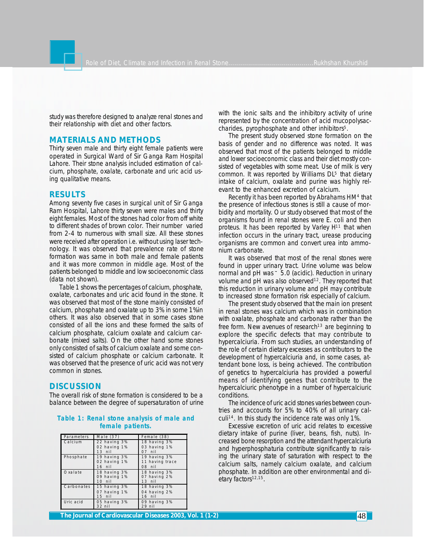study was therefore designed to analyze renal stones and their relationship with diet and other factors.

### **MATERIALS AND METHODS**

Thirty seven male and thirty eight female patients were operated in Surgical Ward of Sir Ganga Ram Hospital Lahore. Their stone analysis included estimation of calcium, phosphate, oxalate, carbonate and uric acid using qualitative means.

# **RESULTS**

Among seventy five cases in surgical unit of Sir Ganga Ram Hospital, Lahore thirty seven were males and thirty eight females. Most of the stones had color from off white to different shades of brown color. Their number varied from 2-4 to numerous with small size. All these stones were received after operation i.e. without using laser technology. It was observed that prevalence rate of stone formation was same in both male and female patients and it was more common in middle age. Most of the patients belonged to middle and low socioeconomic class (data not shown).

Table 1 shows the percentages of calcium, phosphate, oxalate, carbonates and uric acid found in the stone. It was observed that most of the stone mainly consisted of calcium, phosphate and oxalate up to 3% in some 1%in others. It was also observed that in some cases stone consisted of all the ions and these formed the salts of calcium phosphate, calcium oxalate and calcium carbonate (mixed salts). On the other hand some stones only consisted of salts of calcium oxalate and some consisted of calcium phosphate or calcium carbonate. It was observed that the presence of uric acid was not very common in stones.

### **DISCUSSION**

The overall risk of stone formation is considered to be a balance between the degree of supersaturation of urine

### **Table 1: Renal stone analysis of male and female patients.**

| Parameters | Male $(37)$  | Female (38)     |
|------------|--------------|-----------------|
| Calcium    | 22 having 3% | 18 having 3%    |
|            | 02 having 1% | 03 having 1%    |
|            | $13$ nil     | $07$ nil        |
| Phosphate  | 19 having 3% | 19 having 3%    |
|            | 02 having 1% | 11 having trace |
|            | $16$ nil     | 08 nil          |
| Oxalate    | 18 having 3% | 18 having 3%    |
|            | 09 having 1% | 07 having 2%    |
|            | $10$ nil     | $13$ nil        |
| Carbonates | 15 having 3% | 18 having 3%    |
|            | 07 having 1% | 04 having 2%    |
|            | $15$ nil     | $16$ nil        |
| Uric acid  | 05 having 3% | 09 having 3%    |
|            | $32$ nil     | $29$ nil        |

with the ionic salts and the inhibitory activity of urine represented by the concentration of acid mucopolysaccharides, pyrophosphate and other inhibitors<sup>5</sup>.

The present study observed stone formation on the basis of gender and no difference was noted. It was observed that most of the patients belonged to middle and lower socioeconomic class and their diet mostly consisted of vegetables with some meat. Use of milk is very common. It was reported by Williams DL<sup>5</sup> that dietary intake of calcium, oxalate and purine was highly relevant to the enhanced excretion of calcium.

Recently it has been reported by Abrahams HM<sup>4</sup> that the presence of infectious stones is still a cause of morbidity and mortality. Our study observed that most of the organisms found in renal stones were E. coli and then proteus. It has been reported by Varley H<sup>11</sup> that when infection occurs in the urinary tract, urease producing organisms are common and convert urea into ammonium carbonate.

It was observed that most of the renal stones were found in upper urinary tract. Urine volume was below normal and pH was ~ 5.0 (acidic). Reduction in urinary volume and pH was also observed<sup>12</sup>. They reported that this reduction in urinary volume and pH may contribute to increased stone formation risk especially of calcium.

The present study observed that the main ion present in renal stones was calcium which was in combination with oxalate, phosphate and carbonate rather than the free form. New avenues of research<sup>13</sup> are beginning to explore the specific defects that may contribute to hypercalciuria. From such studies, an understanding of the role of certain dietary excesses as contributors to the development of hypercalciuria and, in some cases, attendant bone loss, is being achieved. The contribution of genetics to hypercalciuria has provided a powerful means of identifying genes that contribute to the hypercalciuric phenotype in a number of hypercalciuric conditions.

The incidence of uric acid stones varies between countries and accounts for 5% to 40% of all urinary calculi14. In this study the incidence rate was only 1%.

Excessive excretion of uric acid relates to excessive dietary intake of purine (liver, beans, fish, nuts). Increased bone resorption and the attendant hypercalciuria and hyperphosphaturia contribute significantly to raising the urinary state of saturation with respect to the calcium salts, namely calcium oxalate, and calcium phosphate. In addition are other environmental and dietary factors<sup>12,15</sup>.

**The Journal of Cardiovascular Diseases 2003, Vol. 1 (1-2)** 48